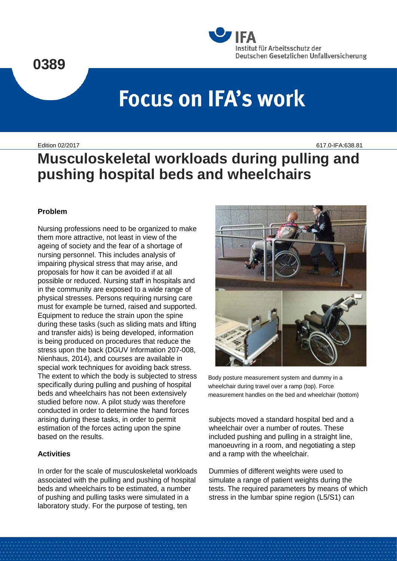## **0389**



# **Focus on IFA's work**

Edition 02/2017 617.0-IFA:638.81

**Musculoskeletal workloads during pulling and pushing hospital beds and wheelchairs**

### **Problem**

Nursing professions need to be organized to make them more attractive, not least in view of the ageing of society and the fear of a shortage of nursing personnel. This includes analysis of impairing physical stress that may arise, and proposals for how it can be avoided if at all possible or reduced. Nursing staff in hospitals and in the community are exposed to a wide range of physical stresses. Persons requiring nursing care must for example be turned, raised and supported. Equipment to reduce the strain upon the spine during these tasks (such as sliding mats and lifting and transfer aids) is being developed, information is being produced on procedures that reduce the stress upon the back (DGUV Information 207-008, Nienhaus, 2014), and courses are available in special work techniques for avoiding back stress. The extent to which the body is subjected to stress specifically during pulling and pushing of hospital beds and wheelchairs has not been extensively studied before now. A pilot study was therefore conducted in order to determine the hand forces arising during these tasks, in order to permit estimation of the forces acting upon the spine based on the results.

### **Activities**

In order for the scale of musculoskeletal workloads associated with the pulling and pushing of hospital beds and wheelchairs to be estimated, a number of pushing and pulling tasks were simulated in a laboratory study. For the purpose of testing, ten



Body posture measurement system and dummy in a wheelchair during travel over a ramp (top). Force measurement handles on the bed and wheelchair (bottom)

subjects moved a standard hospital bed and a wheelchair over a number of routes. These included pushing and pulling in a straight line, manoeuvring in a room, and negotiating a step and a ramp with the wheelchair.

Dummies of different weights were used to simulate a range of patient weights during the tests. The required parameters by means of which stress in the lumbar spine region (L5/S1) can